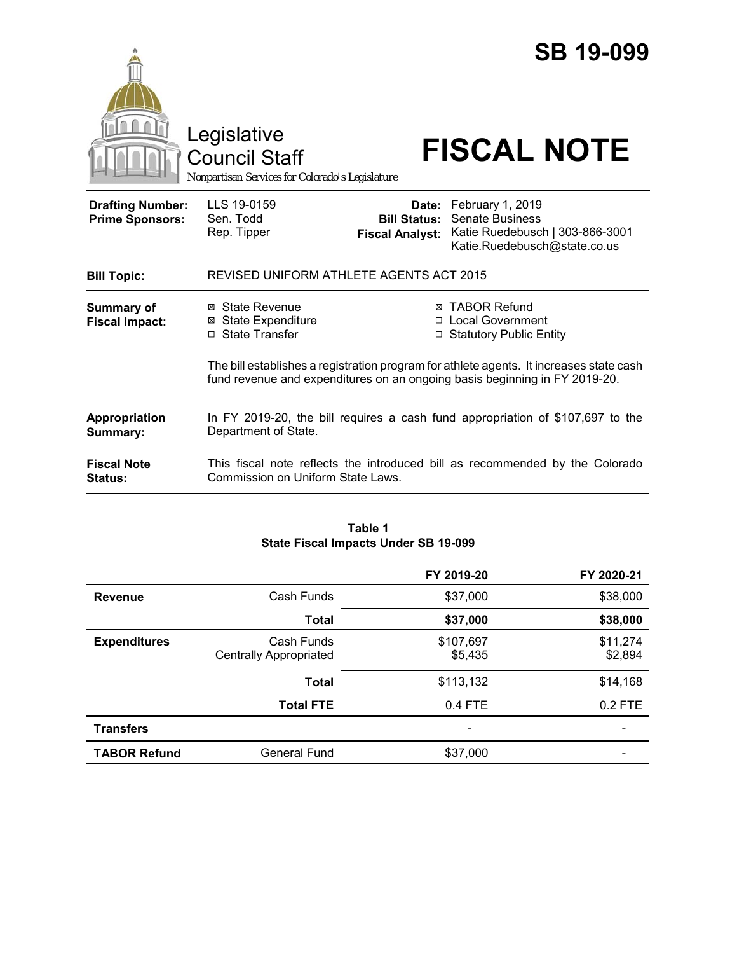|                                                   | Legislative<br><b>Council Staff</b><br>Nonpartisan Services for Colorado's Legislature |                        | <b>SB 19-099</b><br><b>FISCAL NOTE</b>                                                                                                                                |
|---------------------------------------------------|----------------------------------------------------------------------------------------|------------------------|-----------------------------------------------------------------------------------------------------------------------------------------------------------------------|
| <b>Drafting Number:</b><br><b>Prime Sponsors:</b> | LLS 19-0159<br>Sen. Todd<br>Rep. Tipper                                                | <b>Fiscal Analyst:</b> | Date: February 1, 2019<br><b>Bill Status: Senate Business</b><br>Katie Ruedebusch   303-866-3001<br>Katie.Ruedebusch@state.co.us                                      |
| <b>Bill Topic:</b>                                | REVISED UNIFORM ATHLETE AGENTS ACT 2015                                                |                        |                                                                                                                                                                       |
| Summary of<br><b>Fiscal Impact:</b>               | ⊠ State Revenue<br><b>⊠ State Expenditure</b><br>□ State Transfer                      |                        | ⊠ TABOR Refund<br>□ Local Government<br>□ Statutory Public Entity                                                                                                     |
|                                                   |                                                                                        |                        | The bill establishes a registration program for athlete agents. It increases state cash<br>fund revenue and expenditures on an ongoing basis beginning in FY 2019-20. |
| Appropriation<br>Summary:                         | Department of State.                                                                   |                        | In FY 2019-20, the bill requires a cash fund appropriation of \$107,697 to the                                                                                        |
| <b>Fiscal Note</b><br><b>Status:</b>              | Commission on Uniform State Laws.                                                      |                        | This fiscal note reflects the introduced bill as recommended by the Colorado                                                                                          |

#### **Table 1 State Fiscal Impacts Under SB 19-099**

|                     |                                             | FY 2019-20           | FY 2020-21          |
|---------------------|---------------------------------------------|----------------------|---------------------|
| <b>Revenue</b>      | Cash Funds                                  | \$37,000             | \$38,000            |
|                     | <b>Total</b>                                | \$37,000             | \$38,000            |
| <b>Expenditures</b> | Cash Funds<br><b>Centrally Appropriated</b> | \$107,697<br>\$5,435 | \$11,274<br>\$2,894 |
|                     | <b>Total</b>                                | \$113,132            | \$14,168            |
|                     | <b>Total FTE</b>                            | 0.4 FTE              | 0.2 FTE             |
| <b>Transfers</b>    |                                             |                      |                     |
| <b>TABOR Refund</b> | General Fund                                | \$37,000             |                     |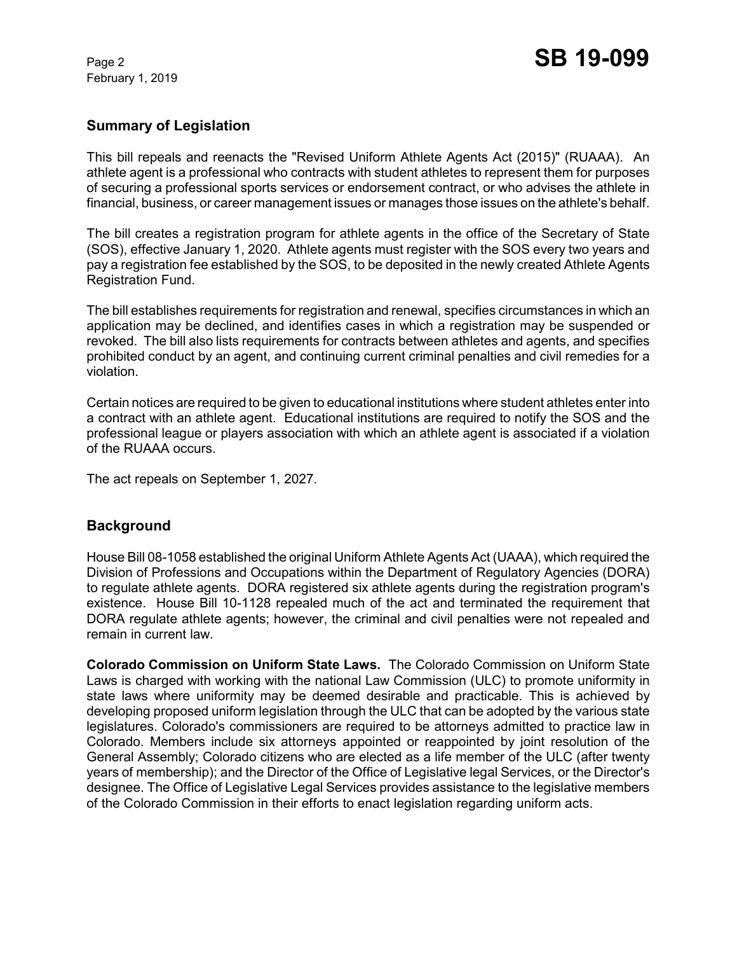February 1, 2019

## **Summary of Legislation**

This bill repeals and reenacts the "Revised Uniform Athlete Agents Act (2015)" (RUAAA). An athlete agent is a professional who contracts with student athletes to represent them for purposes of securing a professional sports services or endorsement contract, or who advises the athlete in financial, business, or career management issues or manages those issues on the athlete's behalf.

The bill creates a registration program for athlete agents in the office of the Secretary of State (SOS), effective January 1, 2020. Athlete agents must register with the SOS every two years and pay a registration fee established by the SOS, to be deposited in the newly created Athlete Agents Registration Fund.

The bill establishes requirements for registration and renewal, specifies circumstances in which an application may be declined, and identifies cases in which a registration may be suspended or revoked. The bill also lists requirements for contracts between athletes and agents, and specifies prohibited conduct by an agent, and continuing current criminal penalties and civil remedies for a violation.

Certain notices are required to be given to educational institutions where student athletes enter into a contract with an athlete agent. Educational institutions are required to notify the SOS and the professional league or players association with which an athlete agent is associated if a violation of the RUAAA occurs.

The act repeals on September 1, 2027.

## **Background**

House Bill 08-1058 established the original Uniform Athlete Agents Act (UAAA), which required the Division of Professions and Occupations within the Department of Regulatory Agencies (DORA) to regulate athlete agents. DORA registered six athlete agents during the registration program's existence. House Bill 10-1128 repealed much of the act and terminated the requirement that DORA regulate athlete agents; however, the criminal and civil penalties were not repealed and remain in current law.

**Colorado Commission on Uniform State Laws.** The Colorado Commission on Uniform State Laws is charged with working with the national Law Commission (ULC) to promote uniformity in state laws where uniformity may be deemed desirable and practicable. This is achieved by developing proposed uniform legislation through the ULC that can be adopted by the various state legislatures. Colorado's commissioners are required to be attorneys admitted to practice law in Colorado. Members include six attorneys appointed or reappointed by joint resolution of the General Assembly; Colorado citizens who are elected as a life member of the ULC (after twenty years of membership); and the Director of the Office of Legislative legal Services, or the Director's designee. The Office of Legislative Legal Services provides assistance to the legislative members of the Colorado Commission in their efforts to enact legislation regarding uniform acts.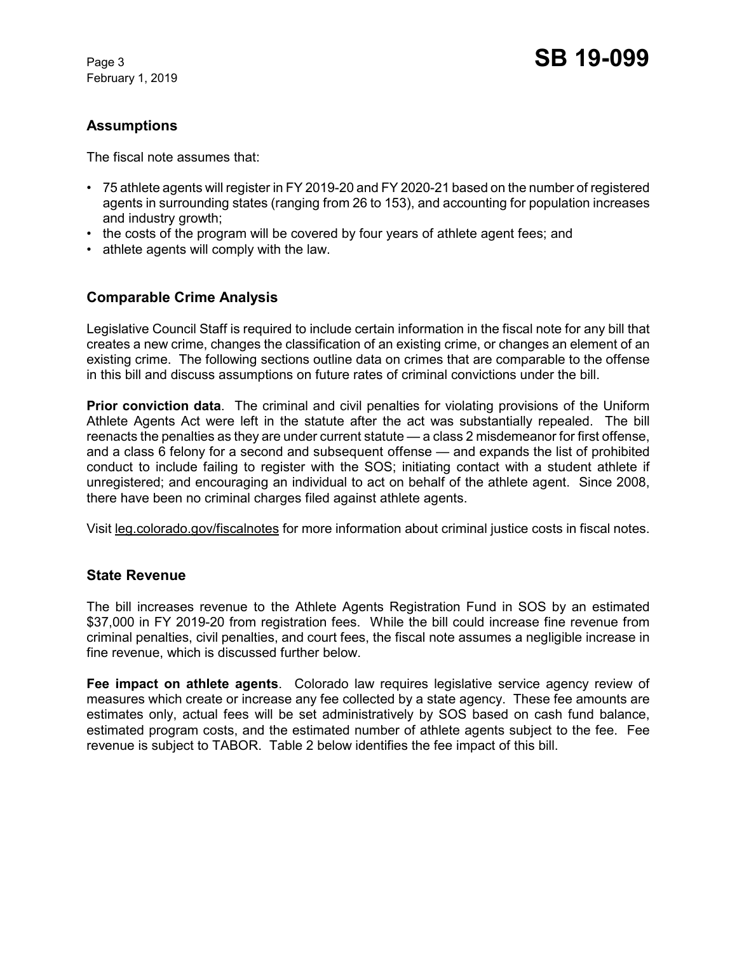February 1, 2019

## **Assumptions**

The fiscal note assumes that:

- 75 athlete agents will register in FY 2019-20 and FY 2020-21 based on the number of registered agents in surrounding states (ranging from 26 to 153), and accounting for population increases and industry growth;
- the costs of the program will be covered by four years of athlete agent fees; and
- athlete agents will comply with the law.

# **Comparable Crime Analysis**

Legislative Council Staff is required to include certain information in the fiscal note for any bill that creates a new crime, changes the classification of an existing crime, or changes an element of an existing crime. The following sections outline data on crimes that are comparable to the offense in this bill and discuss assumptions on future rates of criminal convictions under the bill.

**Prior conviction data**. The criminal and civil penalties for violating provisions of the Uniform Athlete Agents Act were left in the statute after the act was substantially repealed. The bill reenacts the penalties as they are under current statute — a class 2 misdemeanor for first offense, and a class 6 felony for a second and subsequent offense — and expands the list of prohibited conduct to include failing to register with the SOS; initiating contact with a student athlete if unregistered; and encouraging an individual to act on behalf of the athlete agent. Since 2008, there have been no criminal charges filed against athlete agents.

Visit leg.colorado.gov/fiscalnotes for more information about criminal justice costs in fiscal notes.

## **State Revenue**

The bill increases revenue to the Athlete Agents Registration Fund in SOS by an estimated \$37,000 in FY 2019-20 from registration fees. While the bill could increase fine revenue from criminal penalties, civil penalties, and court fees, the fiscal note assumes a negligible increase in fine revenue, which is discussed further below.

**Fee impact on athlete agents**. Colorado law requires legislative service agency review of measures which create or increase any fee collected by a state agency. These fee amounts are estimates only, actual fees will be set administratively by SOS based on cash fund balance, estimated program costs, and the estimated number of athlete agents subject to the fee. Fee revenue is subject to TABOR. Table 2 below identifies the fee impact of this bill.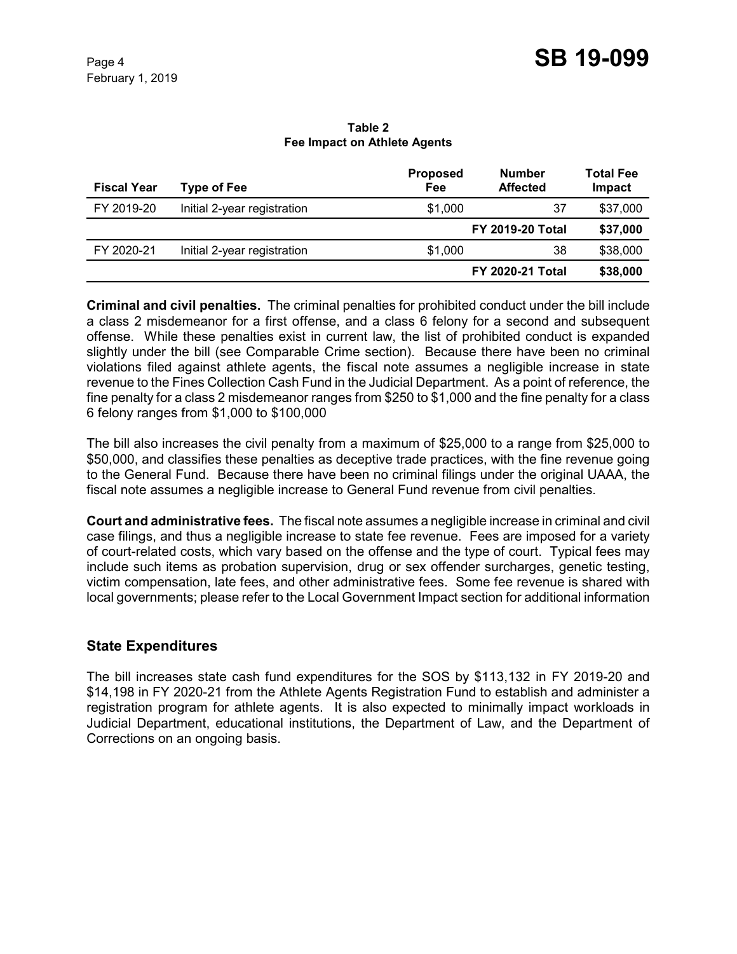#### **Table 2 Fee Impact on Athlete Agents**

| <b>Fiscal Year</b> | <b>Type of Fee</b>          | <b>Proposed</b><br>Fee | <b>Number</b><br><b>Affected</b> | <b>Total Fee</b><br>Impact |
|--------------------|-----------------------------|------------------------|----------------------------------|----------------------------|
| FY 2019-20         | Initial 2-year registration | \$1,000                | 37                               | \$37,000                   |
|                    |                             |                        | <b>FY 2019-20 Total</b>          | \$37,000                   |
| FY 2020-21         | Initial 2-year registration | \$1,000                | 38                               | \$38,000                   |
|                    |                             |                        | <b>FY 2020-21 Total</b>          | \$38,000                   |

**Criminal and civil penalties.**The criminal penalties for prohibited conduct under the bill include a class 2 misdemeanor for a first offense, and a class 6 felony for a second and subsequent offense. While these penalties exist in current law, the list of prohibited conduct is expanded slightly under the bill (see Comparable Crime section). Because there have been no criminal violations filed against athlete agents, the fiscal note assumes a negligible increase in state revenue to the Fines Collection Cash Fund in the Judicial Department. As a point of reference, the fine penalty for a class 2 misdemeanor ranges from \$250 to \$1,000 and the fine penalty for a class 6 felony ranges from \$1,000 to \$100,000

The bill also increases the civil penalty from a maximum of \$25,000 to a range from \$25,000 to \$50,000, and classifies these penalties as deceptive trade practices, with the fine revenue going to the General Fund. Because there have been no criminal filings under the original UAAA, the fiscal note assumes a negligible increase to General Fund revenue from civil penalties.

**Court and administrative fees.** The fiscal note assumes a negligible increase in criminal and civil case filings, and thus a negligible increase to state fee revenue. Fees are imposed for a variety of court-related costs, which vary based on the offense and the type of court. Typical fees may include such items as probation supervision, drug or sex offender surcharges, genetic testing, victim compensation, late fees, and other administrative fees. Some fee revenue is shared with local governments; please refer to the Local Government Impact section for additional information

## **State Expenditures**

The bill increases state cash fund expenditures for the SOS by \$113,132 in FY 2019-20 and \$14,198 in FY 2020-21 from the Athlete Agents Registration Fund to establish and administer a registration program for athlete agents. It is also expected to minimally impact workloads in Judicial Department, educational institutions, the Department of Law, and the Department of Corrections on an ongoing basis.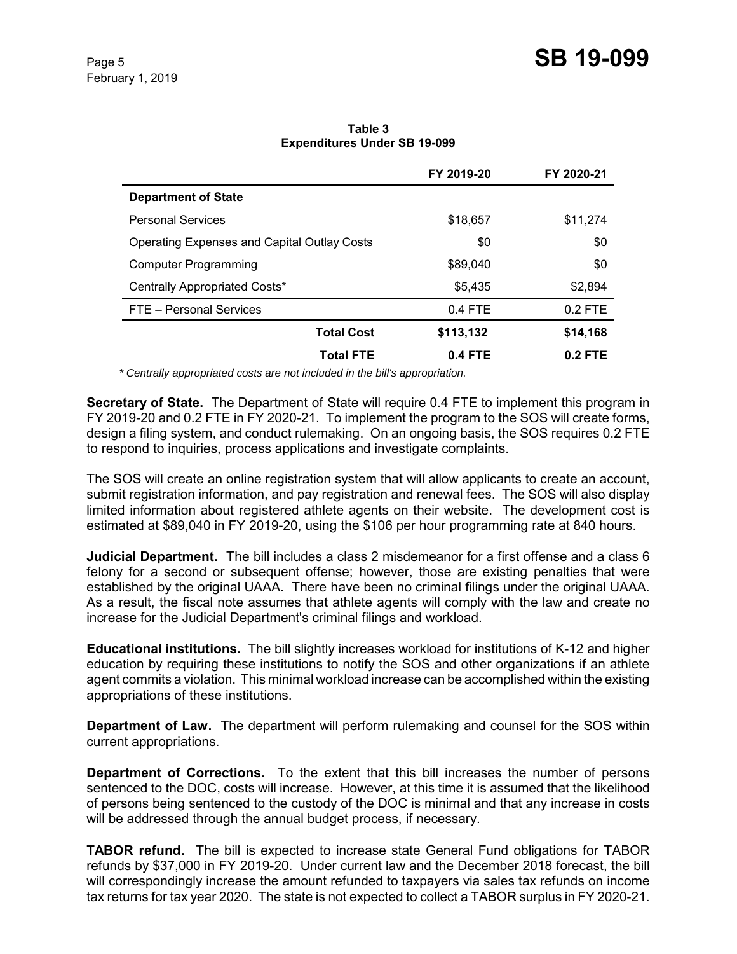|                                                    | FY 2019-20 | FY 2020-21 |
|----------------------------------------------------|------------|------------|
| <b>Department of State</b>                         |            |            |
| <b>Personal Services</b>                           | \$18,657   | \$11,274   |
| <b>Operating Expenses and Capital Outlay Costs</b> | \$0        | \$0        |
| Computer Programming                               | \$89,040   | \$0        |
| Centrally Appropriated Costs*                      | \$5,435    | \$2,894    |
| FTE - Personal Services                            | $0.4$ FTE  | $0.2$ FTE  |
| <b>Total Cost</b>                                  | \$113,132  | \$14,168   |
| <b>Total FTE</b>                                   | 0.4 FTE    | $0.2$ FTE  |

**Table 3 Expenditures Under SB 19-099**

 *\* Centrally appropriated costs are not included in the bill's appropriation.*

**Secretary of State.** The Department of State will require 0.4 FTE to implement this program in FY 2019-20 and 0.2 FTE in FY 2020-21. To implement the program to the SOS will create forms, design a filing system, and conduct rulemaking. On an ongoing basis, the SOS requires 0.2 FTE to respond to inquiries, process applications and investigate complaints.

The SOS will create an online registration system that will allow applicants to create an account, submit registration information, and pay registration and renewal fees. The SOS will also display limited information about registered athlete agents on their website. The development cost is estimated at \$89,040 in FY 2019-20, using the \$106 per hour programming rate at 840 hours.

**Judicial Department.** The bill includes a class 2 misdemeanor for a first offense and a class 6 felony for a second or subsequent offense; however, those are existing penalties that were established by the original UAAA. There have been no criminal filings under the original UAAA. As a result, the fiscal note assumes that athlete agents will comply with the law and create no increase for the Judicial Department's criminal filings and workload.

**Educational institutions.** The bill slightly increases workload for institutions of K-12 and higher education by requiring these institutions to notify the SOS and other organizations if an athlete agent commits a violation. This minimal workload increase can be accomplished within the existing appropriations of these institutions.

**Department of Law.** The department will perform rulemaking and counsel for the SOS within current appropriations.

**Department of Corrections.** To the extent that this bill increases the number of persons sentenced to the DOC, costs will increase. However, at this time it is assumed that the likelihood of persons being sentenced to the custody of the DOC is minimal and that any increase in costs will be addressed through the annual budget process, if necessary.

**TABOR refund.** The bill is expected to increase state General Fund obligations for TABOR refunds by \$37,000 in FY 2019-20. Under current law and the December 2018 forecast, the bill will correspondingly increase the amount refunded to taxpayers via sales tax refunds on income tax returns for tax year 2020. The state is not expected to collect a TABOR surplus in FY 2020-21.